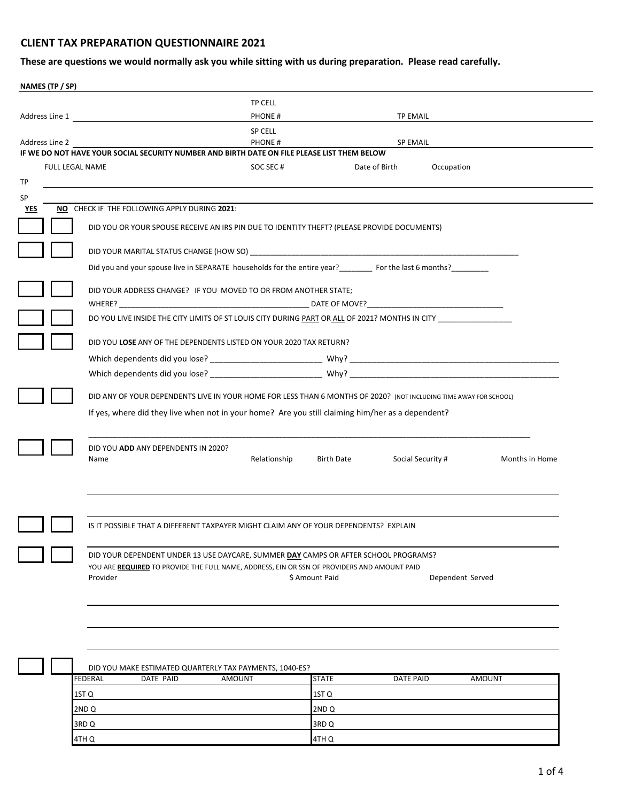## **CLIENT TAX PREPARATION QUESTIONNAIRE 2021**

**These are questions we would normally ask you while sitting with us during preparation. Please read carefully.**

| NAMES (TP / SP) |                                                                                                                                                                                    |                |                  |                             |                |
|-----------------|------------------------------------------------------------------------------------------------------------------------------------------------------------------------------------|----------------|------------------|-----------------------------|----------------|
|                 |                                                                                                                                                                                    | <b>TP CELL</b> |                  |                             |                |
|                 | Address Line 1                                                                                                                                                                     | PHONE#         |                  | <b>TP EMAIL</b>             |                |
|                 |                                                                                                                                                                                    | <b>SP CELL</b> |                  |                             |                |
| Address Line 2  | IF WE DO NOT HAVE YOUR SOCIAL SECURITY NUMBER AND BIRTH DATE ON FILE PLEASE LIST THEM BELOW                                                                                        | PHONE#         |                  | <b>SP EMAIL</b>             |                |
| FULL LEGAL NAME |                                                                                                                                                                                    | SOC SEC#       |                  | Date of Birth<br>Occupation |                |
|                 |                                                                                                                                                                                    |                |                  |                             |                |
|                 |                                                                                                                                                                                    |                |                  |                             |                |
|                 | NO CHECK IF THE FOLLOWING APPLY DURING 2021:                                                                                                                                       |                |                  |                             |                |
|                 | DID YOU OR YOUR SPOUSE RECEIVE AN IRS PIN DUE TO IDENTITY THEFT? (PLEASE PROVIDE DOCUMENTS)                                                                                        |                |                  |                             |                |
|                 |                                                                                                                                                                                    |                |                  |                             |                |
|                 | Did you and your spouse live in SEPARATE households for the entire year?<br>For the last 6 months?                                                                                 |                |                  |                             |                |
|                 | DID YOUR ADDRESS CHANGE? IF YOU MOVED TO OR FROM ANOTHER STATE;                                                                                                                    |                |                  |                             |                |
|                 |                                                                                                                                                                                    |                |                  |                             |                |
|                 | DO YOU LIVE INSIDE THE CITY LIMITS OF ST LOUIS CITY DURING PART OR ALL OF 2021? MONTHS IN CITY _______________                                                                     |                |                  |                             |                |
|                 | DID YOU LOSE ANY OF THE DEPENDENTS LISTED ON YOUR 2020 TAX RETURN?                                                                                                                 |                |                  |                             |                |
|                 |                                                                                                                                                                                    |                |                  |                             |                |
|                 |                                                                                                                                                                                    |                |                  |                             |                |
|                 | DID ANY OF YOUR DEPENDENTS LIVE IN YOUR HOME FOR LESS THAN 6 MONTHS OF 2020? (NOT INCLUDING TIME AWAY FOR SCHOOL)                                                                  |                |                  |                             |                |
|                 | If yes, where did they live when not in your home? Are you still claiming him/her as a dependent?                                                                                  |                |                  |                             |                |
| Name            | DID YOU ADD ANY DEPENDENTS IN 2020?                                                                                                                                                | Relationship   | Birth Date       | Social Security #           | Months in Home |
|                 | IS IT POSSIBLE THAT A DIFFERENT TAXPAYER MIGHT CLAIM ANY OF YOUR DEPENDENTS? EXPLAIN                                                                                               |                |                  |                             |                |
| Provider        | DID YOUR DEPENDENT UNDER 13 USE DAYCARE, SUMMER DAY CAMPS OR AFTER SCHOOL PROGRAMS?<br>YOU ARE REQUIRED TO PROVIDE THE FULL NAME, ADDRESS, EIN OR SSN OF PROVIDERS AND AMOUNT PAID |                | \$ Amount Paid   | Dependent Served            |                |
|                 | DID YOU MAKE ESTIMATED QUARTERLY TAX PAYMENTS, 1040-ES?                                                                                                                            |                |                  |                             |                |
| FEDERAL         | DATE PAID                                                                                                                                                                          | <b>AMOUNT</b>  | <b>STATE</b>     | <b>DATE PAID</b>            | <b>AMOUNT</b>  |
| 1ST Q           |                                                                                                                                                                                    |                | 1ST <sub>Q</sub> |                             |                |

3RD Q 3RD Q 4TH Q 4TH Q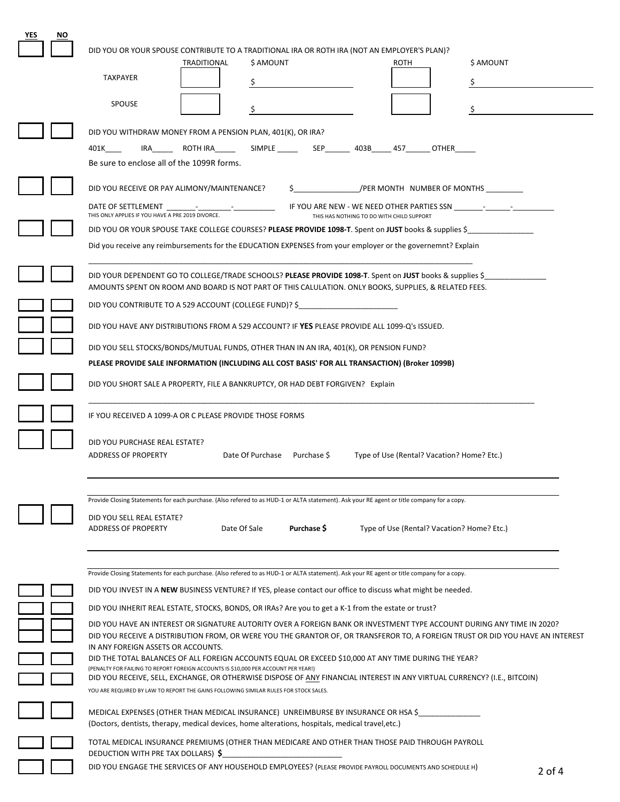| YES<br>NO. |                                                                                                                                                                                                                |                                                                                |                                           |                                            |           |
|------------|----------------------------------------------------------------------------------------------------------------------------------------------------------------------------------------------------------------|--------------------------------------------------------------------------------|-------------------------------------------|--------------------------------------------|-----------|
|            | DID YOU OR YOUR SPOUSE CONTRIBUTE TO A TRADITIONAL IRA OR ROTH IRA (NOT AN EMPLOYER'S PLAN)?                                                                                                                   |                                                                                |                                           |                                            |           |
|            | TRADITIONAL                                                                                                                                                                                                    | \$ AMOUNT                                                                      |                                           | ROTH                                       | \$ AMOUNT |
|            | <b>TAXPAYER</b>                                                                                                                                                                                                |                                                                                |                                           |                                            |           |
|            | <b>SPOUSE</b>                                                                                                                                                                                                  |                                                                                |                                           |                                            |           |
|            |                                                                                                                                                                                                                |                                                                                |                                           |                                            |           |
|            | DID YOU WITHDRAW MONEY FROM A PENSION PLAN, 401(K), OR IRA?                                                                                                                                                    |                                                                                |                                           |                                            |           |
|            | 401K and the set of the set of the set of the set of the set of the set of the set of the set of the set of th                                                                                                 | IRA ROTH IRA ________ SIMPLE ________ SEP________ 403B______ 457_______ OTHER_ |                                           |                                            |           |
|            | Be sure to enclose all of the 1099R forms.                                                                                                                                                                     |                                                                                |                                           |                                            |           |
|            | DID YOU RECEIVE OR PAY ALIMONY/MAINTENANCE?                                                                                                                                                                    |                                                                                |                                           | /PER MONTH NUMBER OF MONTHS                |           |
|            | DATE OF SETTLEMENT                                                                                                                                                                                             |                                                                                |                                           |                                            |           |
|            | THIS ONLY APPLIES IF YOU HAVE A PRE 2019 DIVORCE.                                                                                                                                                              |                                                                                | THIS HAS NOTHING TO DO WITH CHILD SUPPORT |                                            |           |
|            | DID YOU OR YOUR SPOUSE TAKE COLLEGE COURSES? PLEASE PROVIDE 1098-T. Spent on JUST books & supplies \$                                                                                                          |                                                                                |                                           |                                            |           |
|            | Did you receive any reimbursements for the EDUCATION EXPENSES from your employer or the governemnt? Explain                                                                                                    |                                                                                |                                           |                                            |           |
|            | DID YOUR DEPENDENT GO TO COLLEGE/TRADE SCHOOLS? PLEASE PROVIDE 1098-T. Spent on JUST books & supplies \$                                                                                                       |                                                                                |                                           |                                            |           |
|            | AMOUNTS SPENT ON ROOM AND BOARD IS NOT PART OF THIS CALULATION. ONLY BOOKS, SUPPLIES, & RELATED FEES.                                                                                                          |                                                                                |                                           |                                            |           |
|            | DID YOU CONTRIBUTE TO A 529 ACCOUNT (COLLEGE FUND)? \$                                                                                                                                                         |                                                                                |                                           |                                            |           |
|            | DID YOU HAVE ANY DISTRIBUTIONS FROM A 529 ACCOUNT? IF YES PLEASE PROVIDE ALL 1099-Q'S ISSUED.                                                                                                                  |                                                                                |                                           |                                            |           |
|            |                                                                                                                                                                                                                |                                                                                |                                           |                                            |           |
|            | DID YOU SELL STOCKS/BONDS/MUTUAL FUNDS, OTHER THAN IN AN IRA, 401(K), OR PENSION FUND?                                                                                                                         |                                                                                |                                           |                                            |           |
|            | PLEASE PROVIDE SALE INFORMATION (INCLUDING ALL COST BASIS' FOR ALL TRANSACTION) (Broker 1099B)                                                                                                                 |                                                                                |                                           |                                            |           |
|            | DID YOU SHORT SALE A PROPERTY, FILE A BANKRUPTCY, OR HAD DEBT FORGIVEN? Explain                                                                                                                                |                                                                                |                                           |                                            |           |
|            | IF YOU RECEIVED A 1099-A OR C PLEASE PROVIDE THOSE FORMS                                                                                                                                                       |                                                                                |                                           |                                            |           |
|            |                                                                                                                                                                                                                |                                                                                |                                           |                                            |           |
|            | DID YOU PURCHASE REAL ESTATE?<br><b>ADDRESS OF PROPERTY</b>                                                                                                                                                    | Date Of Purchase Purchase \$                                                   |                                           | Type of Use (Rental? Vacation? Home? Etc.) |           |
|            |                                                                                                                                                                                                                |                                                                                |                                           |                                            |           |
|            |                                                                                                                                                                                                                |                                                                                |                                           |                                            |           |
|            | Provide Closing Statements for each purchase. (Also refered to as HUD-1 or ALTA statement). Ask your RE agent or title company for a copy.                                                                     |                                                                                |                                           |                                            |           |
|            | DID YOU SELL REAL ESTATE?                                                                                                                                                                                      | Purchase \$<br>Date Of Sale                                                    |                                           |                                            |           |
|            | <b>ADDRESS OF PROPERTY</b>                                                                                                                                                                                     |                                                                                |                                           | Type of Use (Rental? Vacation? Home? Etc.) |           |
|            |                                                                                                                                                                                                                |                                                                                |                                           |                                            |           |
|            | Provide Closing Statements for each purchase. (Also refered to as HUD-1 or ALTA statement). Ask your RE agent or title company for a copy.                                                                     |                                                                                |                                           |                                            |           |
|            | DID YOU INVEST IN A NEW BUSINESS VENTURE? If YES, please contact our office to discuss what might be needed.                                                                                                   |                                                                                |                                           |                                            |           |
|            | DID YOU INHERIT REAL ESTATE, STOCKS, BONDS, OR IRAS? Are you to get a K-1 from the estate or trust?                                                                                                            |                                                                                |                                           |                                            |           |
|            | DID YOU HAVE AN INTEREST OR SIGNATURE AUTORITY OVER A FOREIGN BANK OR INVESTMENT TYPE ACCOUNT DURING ANY TIME IN 2020?                                                                                         |                                                                                |                                           |                                            |           |
|            | DID YOU RECEIVE A DISTRIBUTION FROM, OR WERE YOU THE GRANTOR OF, OR TRANSFEROR TO, A FOREIGN TRUST OR DID YOU HAVE AN INTEREST                                                                                 |                                                                                |                                           |                                            |           |
|            | IN ANY FOREIGN ASSETS OR ACCOUNTS.<br>DID THE TOTAL BALANCES OF ALL FOREIGN ACCOUNTS EQUAL OR EXCEED \$10,000 AT ANY TIME DURING THE YEAR?                                                                     |                                                                                |                                           |                                            |           |
|            | (PENALTY FOR FAILING TO REPORT FOREIGN ACCOUNTS IS \$10,000 PER ACCOUNT PER YEAR!)<br>DID YOU RECEIVE, SELL, EXCHANGE, OR OTHERWISE DISPOSE OF ANY FINANCIAL INTEREST IN ANY VIRTUAL CURRENCY? (I.E., BITCOIN) |                                                                                |                                           |                                            |           |
|            | YOU ARE REQUIRED BY LAW TO REPORT THE GAINS FOLLOWING SIMILAR RULES FOR STOCK SALES.                                                                                                                           |                                                                                |                                           |                                            |           |
|            | MEDICAL EXPENSES (OTHER THAN MEDICAL INSURANCE) UNREIMBURSE BY INSURANCE OR HSA \$                                                                                                                             |                                                                                |                                           |                                            |           |
|            | (Doctors, dentists, therapy, medical devices, home alterations, hospitals, medical travel, etc.)                                                                                                               |                                                                                |                                           |                                            |           |
|            | TOTAL MEDICAL INSURANCE PREMIUMS (OTHER THAN MEDICARE AND OTHER THAN THOSE PAID THROUGH PAYROLL                                                                                                                |                                                                                |                                           |                                            |           |
|            | DEDUCTION WITH PRE TAX DOLLARS) \$                                                                                                                                                                             |                                                                                |                                           |                                            |           |
|            | DID YOU ENGAGE THE SERVICES OF ANY HOUSEHOLD EMPLOYEES? (PLEASE PROVIDE PAYROLL DOCUMENTS AND SCHEDULE H)                                                                                                      |                                                                                |                                           |                                            | $2$ of 4  |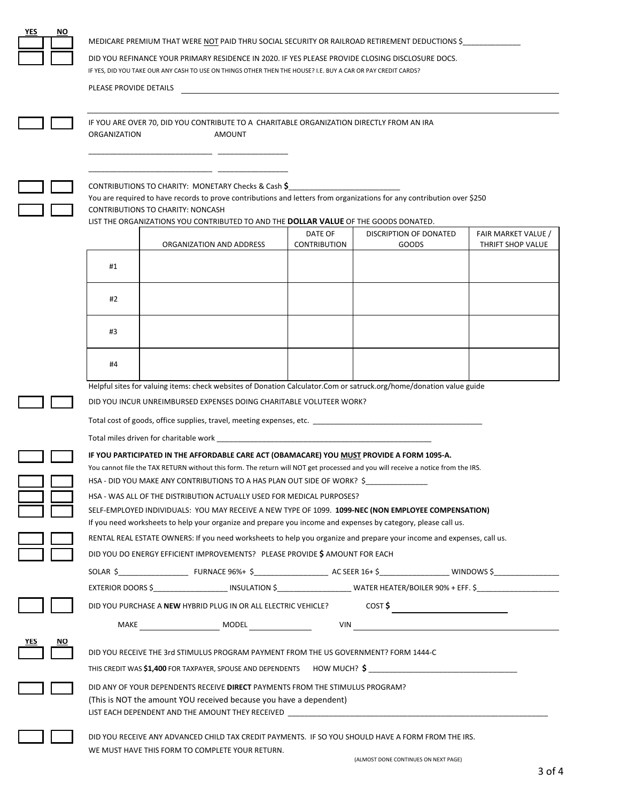| YES<br>NO | MEDICARE PREMIUM THAT WERE NOT PAID THRU SOCIAL SECURITY OR RAILROAD RETIREMENT DEDUCTIONS \$<br>DID YOU REFINANCE YOUR PRIMARY RESIDENCE IN 2020. IF YES PLEASE PROVIDE CLOSING DISCLOSURE DOCS.                                                                                                                                                                                     |
|-----------|---------------------------------------------------------------------------------------------------------------------------------------------------------------------------------------------------------------------------------------------------------------------------------------------------------------------------------------------------------------------------------------|
|           | IF YES, DID YOU TAKE OUR ANY CASH TO USE ON THINGS OTHER THEN THE HOUSE? I.E. BUY A CAR OR PAY CREDIT CARDS?<br>PLEASE PROVIDE DETAILS                                                                                                                                                                                                                                                |
|           | IF YOU ARE OVER 70, DID YOU CONTRIBUTE TO A CHARITABLE ORGANIZATION DIRECTLY FROM AN IRA<br>ORGANIZATION<br>AMOUNT                                                                                                                                                                                                                                                                    |
|           |                                                                                                                                                                                                                                                                                                                                                                                       |
|           | CONTRIBUTIONS TO CHARITY: MONETARY Checks & Cash \$<br>You are required to have records to prove contributions and letters from organizations for any contribution over \$250<br>CONTRIBUTIONS TO CHARITY: NONCASH<br>LIST THE ORGANIZATIONS YOU CONTRIBUTED TO AND THE <b>DOLLAR VALUE</b> OF THE GOODS DONATED.                                                                     |
|           | DATE OF<br>DISCRIPTION OF DONATED<br>FAIR MARKET VALUE /                                                                                                                                                                                                                                                                                                                              |
|           | <b>CONTRIBUTION</b><br>ORGANIZATION AND ADDRESS<br>GOODS<br>THRIFT SHOP VALUE<br>#1                                                                                                                                                                                                                                                                                                   |
|           | #2                                                                                                                                                                                                                                                                                                                                                                                    |
|           | #3                                                                                                                                                                                                                                                                                                                                                                                    |
|           | #4                                                                                                                                                                                                                                                                                                                                                                                    |
|           | Helpful sites for valuing items: check websites of Donation Calculator.Com or satruck.org/home/donation value guide                                                                                                                                                                                                                                                                   |
|           | DID YOU INCUR UNREIMBURSED EXPENSES DOING CHARITABLE VOLUTEER WORK?                                                                                                                                                                                                                                                                                                                   |
|           | Total cost of goods, office supplies, travel, meeting expenses, etc.                                                                                                                                                                                                                                                                                                                  |
|           | IF YOU PARTICIPATED IN THE AFFORDABLE CARE ACT (OBAMACARE) YOU <u>MUST</u> PROVIDE A FORM 1095-A.                                                                                                                                                                                                                                                                                     |
|           | You cannot file the TAX RETURN without this form. The return will NOT get processed and you will receive a notice from the IRS.                                                                                                                                                                                                                                                       |
|           | HSA - DID YOU MAKE ANY CONTRIBUTIONS TO A HAS PLAN OUT SIDE OF WORK? \$___________                                                                                                                                                                                                                                                                                                    |
|           | HSA - WAS ALL OF THE DISTRIBUTION ACTUALLY USED FOR MEDICAL PURPOSES?<br>SELF-EMPLOYED INDIVIDUALS: YOU MAY RECEIVE A NEW TYPE OF 1099. 1099-NEC (NON EMPLOYEE COMPENSATION)                                                                                                                                                                                                          |
|           | If you need worksheets to help your organize and prepare you income and expenses by category, please call us.                                                                                                                                                                                                                                                                         |
|           | RENTAL REAL ESTATE OWNERS: If you need worksheets to help you organize and prepare your income and expenses, call us.                                                                                                                                                                                                                                                                 |
|           | DID YOU DO ENERGY EFFICIENT IMPROVEMENTS? PLEASE PROVIDE \$ AMOUNT FOR EACH                                                                                                                                                                                                                                                                                                           |
|           |                                                                                                                                                                                                                                                                                                                                                                                       |
|           | EXTERIOR DOORS \$________________________ INSULATION \$_________________________WATER HEATER/BOILER 90% + EFF. \$________________________                                                                                                                                                                                                                                             |
|           | $\overline{\text{cost}}$<br>DID YOU PURCHASE A NEW HYBRID PLUG IN OR ALL ELECTRIC VEHICLE?                                                                                                                                                                                                                                                                                            |
|           |                                                                                                                                                                                                                                                                                                                                                                                       |
|           | DID YOU RECEIVE THE 3rd STIMULUS PROGRAM PAYMENT FROM THE US GOVERNMENT? FORM 1444-C<br>THIS CREDIT WAS \$1,400 FOR TAXPAYER, SPOUSE AND DEPENDENTS HOW MUCH? \$                                                                                                                                                                                                                      |
|           | DID ANY OF YOUR DEPENDENTS RECEIVE DIRECT PAYMENTS FROM THE STIMULUS PROGRAM?<br>(This is NOT the amount YOU received because you have a dependent)<br>LIST EACH DEPENDENT AND THE AMOUNT THEY RECEIVED THE RESIDENT AND RELEASED AND RELEASED FOR A STATE OF STATES OF STATES AND RELEASED FOR A STATE OF STATES AND RELEASED FOR STATES AND RELEASED FOR STATES AND RELEASED FOR ST |
|           | DID YOU RECEIVE ANY ADVANCED CHILD TAX CREDIT PAYMENTS. IF SO YOU SHOULD HAVE A FORM FROM THE IRS.<br>WE MUST HAVE THIS FORM TO COMPLETE YOUR RETURN.                                                                                                                                                                                                                                 |